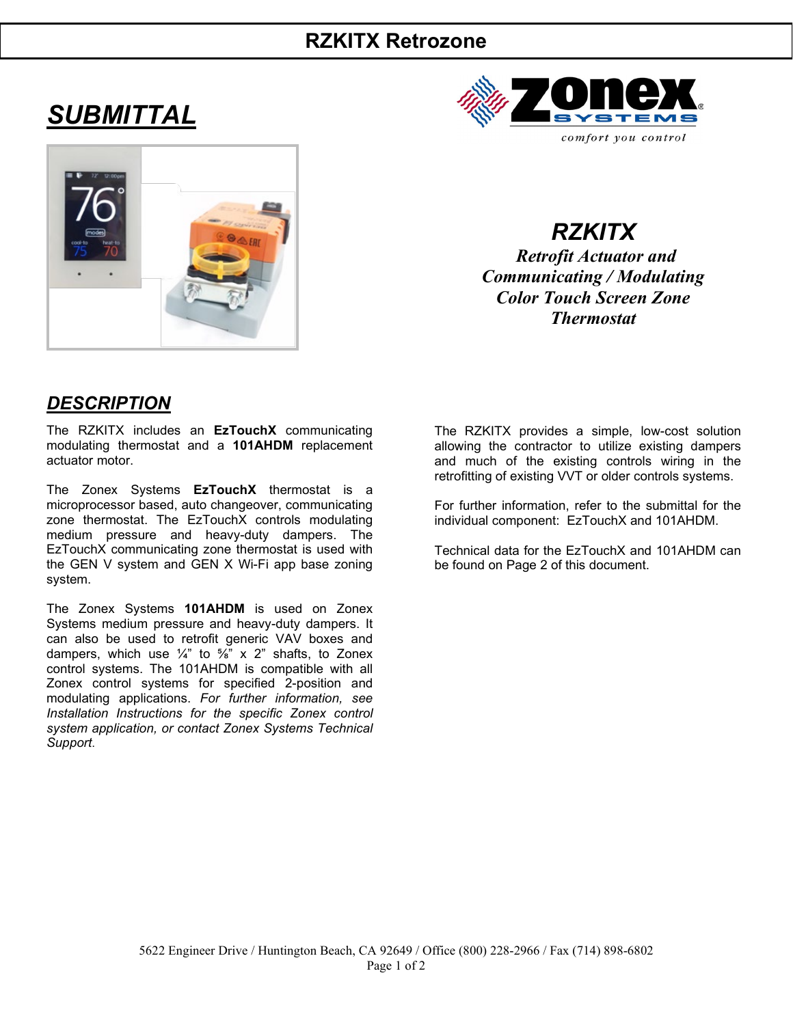# **RZKITX Retrozone**

# *SUBMITTAL*





*RZKITX Retrofit Actuator and Communicating / Modulating Color Touch Screen Zone Thermostat*

## *DESCRIPTION*

The RZKITX includes an **EzTouchX** communicating modulating thermostat and a **101AHDM** replacement actuator motor.

The Zonex Systems **EzTouchX** thermostat is a microprocessor based, auto changeover, communicating zone thermostat. The EzTouchX controls modulating medium pressure and heavy-duty dampers. The EzTouchX communicating zone thermostat is used with the GEN V system and GEN X Wi-Fi app base zoning system.

The Zonex Systems **101AHDM** is used on Zonex Systems medium pressure and heavy-duty dampers. It can also be used to retrofit generic VAV boxes and dampers, which use  $\frac{1}{4}$ " to  $\frac{5}{8}$ " x 2" shafts, to Zonex control systems. The 101AHDM is compatible with all Zonex control systems for specified 2-position and modulating applications. *For further information, see Installation Instructions for the specific Zonex control system application, or contact Zonex Systems Technical Support*.

The RZKITX provides a simple, low-cost solution allowing the contractor to utilize existing dampers and much of the existing controls wiring in the retrofitting of existing VVT or older controls systems.

For further information, refer to the submittal for the individual component: EzTouchX and 101AHDM.

Technical data for the EzTouchX and 101AHDM can be found on Page 2 of this document.